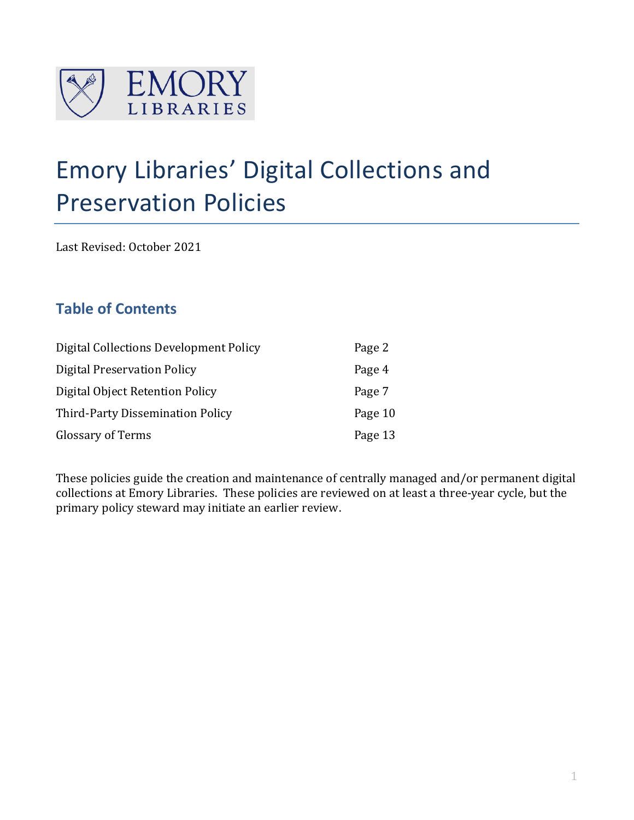

# Emory Libraries' Digital Collections and Preservation Policies

Last Revised: October 2021

## **Table of Contents**

| Digital Collections Development Policy | Page 2  |
|----------------------------------------|---------|
| <b>Digital Preservation Policy</b>     | Page 4  |
| Digital Object Retention Policy        | Page 7  |
| Third-Party Dissemination Policy       | Page 10 |
| <b>Glossary of Terms</b>               | Page 13 |

These policies guide the creation and maintenance of centrally managed and/or permanent digital collections at Emory Libraries. These policies are reviewed on at least a three-year cycle, but the primary policy steward may initiate an earlier review.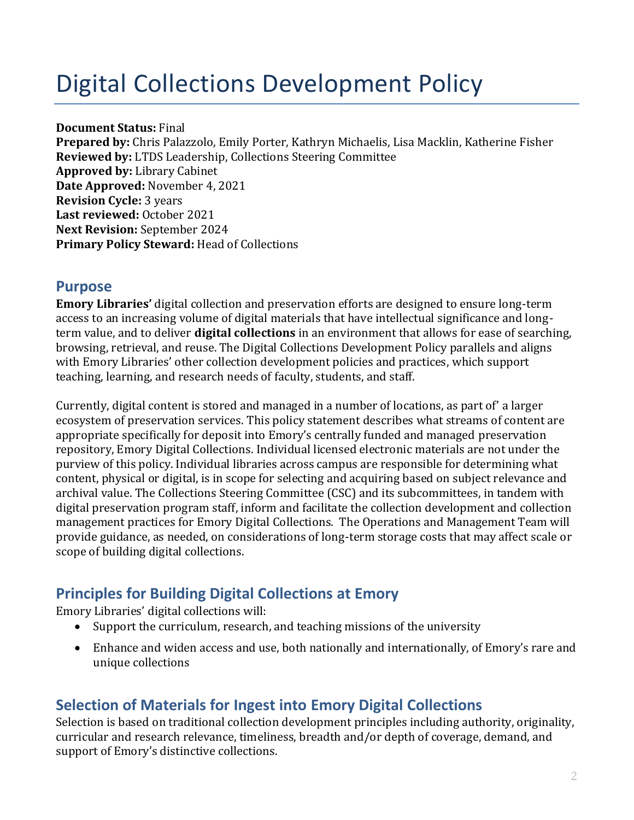# Digital Collections Development Policy

**Document Status:** Final

**Prepared by:** Chris Palazzolo, Emily Porter, Kathryn Michaelis, Lisa Macklin, Katherine Fisher **Reviewed by:** LTDS Leadership, Collections Steering Committee **Approved by:** Library Cabinet **Date Approved:** November 4, 2021 **Revision Cycle:** 3 years **Last reviewed:** October 2021 **Next Revision:** September 2024 **Primary Policy Steward:** Head of Collections

### **Purpose**

**Emory Libraries'** digital collection and preservation efforts are designed to ensure long-term access to an increasing volume of digital materials that have intellectual significance and longterm value, and to deliver **digital collections** in an environment that allows for ease of searching, browsing, retrieval, and reuse. The Digital Collections Development Policy parallels and aligns with Emory Libraries' other collection development policies and practices, which support teaching, learning, and research needs of faculty, students, and staff.

Currently, digital content is stored and managed in a number of locations, as part of' a larger ecosystem of preservation services. This policy statement describes what streams of content are appropriate specifically for deposit into Emory's centrally funded and managed preservation repository, Emory Digital Collections. Individual licensed electronic materials are not under the purview of this policy. Individual libraries across campus are responsible for determining what content, physical or digital, is in scope for selecting and acquiring based on subject relevance and archival value. The Collections Steering Committee (CSC) and its subcommittees, in tandem with digital preservation program staff, inform and facilitate the collection development and collection management practices for Emory Digital Collections. The Operations and Management Team will provide guidance, as needed, on considerations of long-term storage costs that may affect scale or scope of building digital collections.

## **Principles for Building Digital Collections at Emory**

Emory Libraries' digital collections will:

- Support the curriculum, research, and teaching missions of the university
- Enhance and widen access and use, both nationally and internationally, of Emory's rare and unique collections

## **Selection of Materials for Ingest into Emory Digital Collections**

Selection is based on traditional collection development principles including authority, originality, curricular and research relevance, timeliness, breadth and/or depth of coverage, demand, and support of Emory's distinctive collections.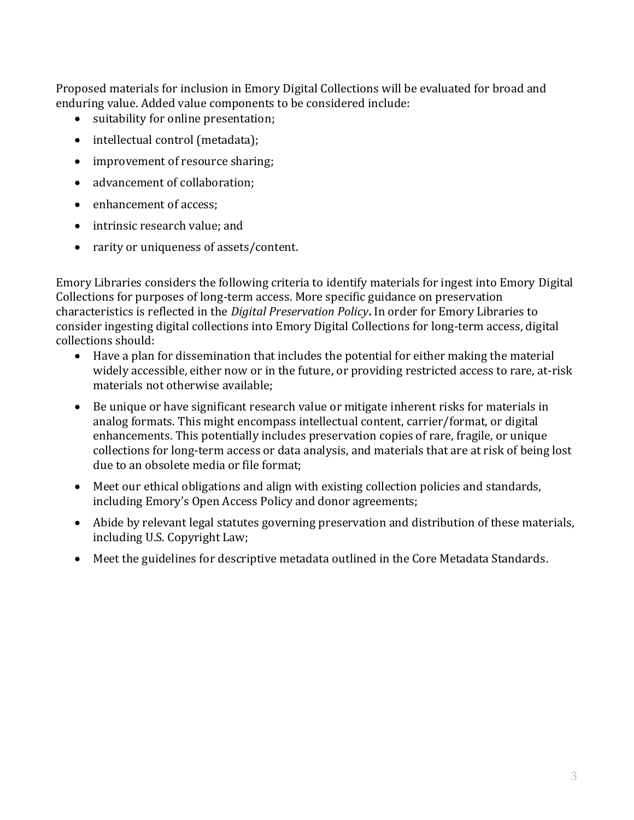Proposed materials for inclusion in Emory Digital Collections will be evaluated for broad and enduring value. Added value components to be considered include:

- suitability for online presentation;
- intellectual control (metadata);
- improvement of resource sharing;
- advancement of collaboration;
- enhancement of access;
- intrinsic research value; and
- rarity or uniqueness of assets/content.

Emory Libraries considers the following criteria to identify materials for ingest into Emory Digital Collections for purposes of long-term access. More specific guidance on preservation characteristics is reflected in the *Digital Preservation Policy***.** In order for Emory Libraries to consider ingesting digital collections into Emory Digital Collections for long-term access, digital collections should:

- Have a plan for dissemination that includes the potential for either making the material widely accessible, either now or in the future, or providing restricted access to rare, at-risk materials not otherwise available;
- Be unique or have significant research value or mitigate inherent risks for materials in analog formats. This might encompass intellectual content, carrier/format, or digital enhancements. This potentially includes preservation copies of rare, fragile, or unique collections for long-term access or data analysis, and materials that are at risk of being lost due to an obsolete media or file format;
- Meet our ethical obligations and align with existing collection policies and standards, including Emory's Open Access Policy and donor agreements;
- Abide by relevant legal statutes governing preservation and distribution of these materials, including U.S. Copyright Law;
- Meet the guidelines for descriptive metadata outlined in the Core Metadata Standards.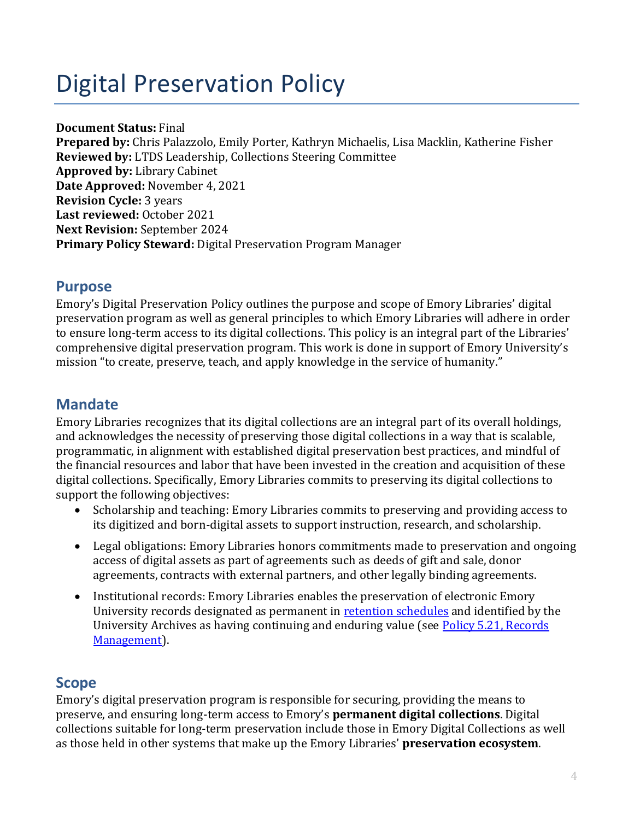# Digital Preservation Policy

**Document Status:** Final

**Prepared by:** Chris Palazzolo, Emily Porter, Kathryn Michaelis, Lisa Macklin, Katherine Fisher **Reviewed by:** LTDS Leadership, Collections Steering Committee **Approved by:** Library Cabinet **Date Approved:** November 4, 2021 **Revision Cycle:** 3 years **Last reviewed:** October 2021 **Next Revision:** September 2024 **Primary Policy Steward:** Digital Preservation Program Manager

## **Purpose**

Emory's Digital Preservation Policy outlines the purpose and scope of Emory Libraries' digital preservation program as well as general principles to which Emory Libraries will adhere in order to ensure long-term access to its digital collections. This policy is an integral part of the Libraries' comprehensive digital preservation program. This work is done in support of Emory University's mission "to create, preserve, teach, and apply knowledge in the service of humanity."

## **Mandate**

Emory Libraries recognizes that its digital collections are an integral part of its overall holdings, and acknowledges the necessity of preserving those digital collections in a way that is scalable, programmatic, in alignment with established digital preservation best practices, and mindful of the financial resources and labor that have been invested in the creation and acquisition of these digital collections. Specifically, Emory Libraries commits to preserving its digital collections to support the following objectives:

- Scholarship and teaching: Emory Libraries commits to preserving and providing access to its digitized and born-digital assets to support instruction, research, and scholarship.
- Legal obligations: Emory Libraries honors commitments made to preservation and ongoing access of digital assets as part of agreements such as deeds of gift and sale, donor agreements, contracts with external partners, and other legally binding agreements.
- Institutional records: Emory Libraries enables the preservation of electronic Emory University records designated as permanent in [retention schedules](https://records.emory.edu/retention-schedules/) and identified by the University Archives as having continuing and enduring value (see [Policy 5.21, Records](https://policies.emory.edu/5.21)  [Management\)](https://policies.emory.edu/5.21).

## **Scope**

Emory's digital preservation program is responsible for securing, providing the means to preserve, and ensuring long-term access to Emory's **permanent digital collections**. Digital collections suitable for long-term preservation include those in Emory Digital Collections as well as those held in other systems that make up the Emory Libraries' **preservation ecosystem**.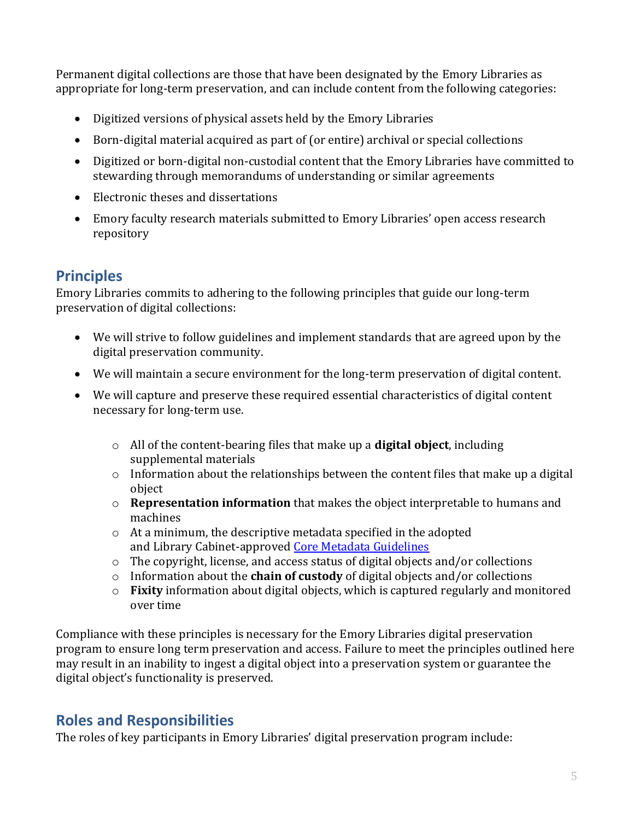Permanent digital collections are those that have been designated by the Emory Libraries as appropriate for long-term preservation, and can include content from the following categories:

- Digitized versions of physical assets held by the Emory Libraries
- Born-digital material acquired as part of (or entire) archival or special collections
- Digitized or born-digital non-custodial content that the Emory Libraries have committed to stewarding through memorandums of understanding or similar agreements
- Electronic theses and dissertations
- Emory faculty research materials submitted to Emory Libraries' open access research repository

## **Principles**

Emory Libraries commits to adhering to the following principles that guide our long-term preservation of digital collections:

- We will strive to follow guidelines and implement standards that are agreed upon by the digital preservation community.
- We will maintain a secure environment for the long-term preservation of digital content.
- We will capture and preserve these required essential characteristics of digital content necessary for long-term use.
	- o All of the content-bearing files that make up a **digital object**, including supplemental materials
	- o Information about the relationships between the content files that make up a digital object
	- o **Representation information** that makes the object interpretable to humans and machines
	- o At a minimum, the descriptive metadata specified in the adopted and Library Cabinet-approved Core Metadata [Guidelines](http://metadata.emory.edu/guidelines/descriptive/core-metadata.html)
	- o The copyright, license, and access status of digital objects and/or collections
	- o Information about the **chain of custody** of digital objects and/or collections
	- o **Fixity** information about digital objects, which is captured regularly and monitored over time

Compliance with these principles is necessary for the Emory Libraries digital preservation program to ensure long term preservation and access. Failure to meet the principles outlined here may result in an inability to ingest a digital object into a preservation system or guarantee the digital object's functionality is preserved.

## **Roles and Responsibilities**

The roles of key participants in Emory Libraries' digital preservation program include: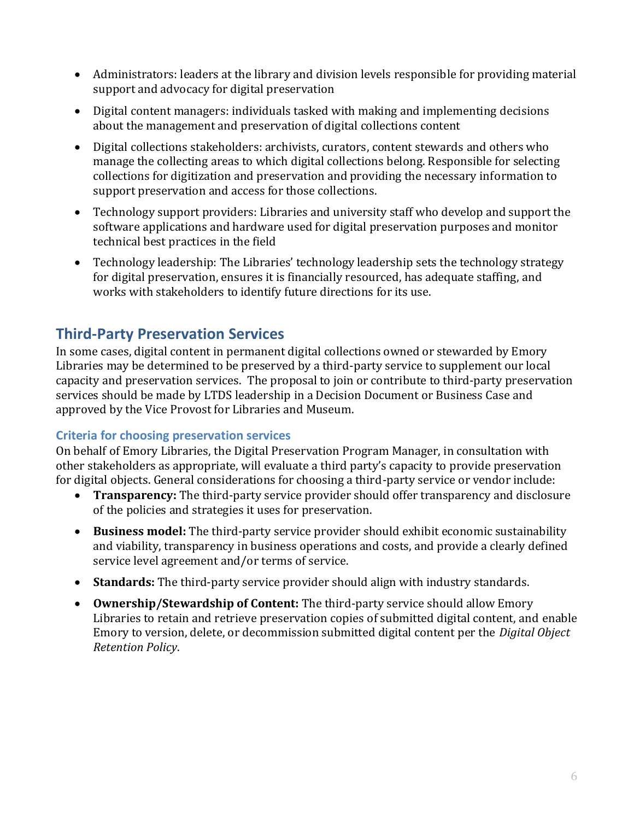- Administrators: leaders at the library and division levels responsible for providing material support and advocacy for digital preservation
- Digital content managers: individuals tasked with making and implementing decisions about the management and preservation of digital collections content
- Digital collections stakeholders: archivists, curators, content stewards and others who manage the collecting areas to which digital collections belong. Responsible for selecting collections for digitization and preservation and providing the necessary information to support preservation and access for those collections.
- Technology support providers: Libraries and university staff who develop and support the software applications and hardware used for digital preservation purposes and monitor technical best practices in the field
- Technology leadership: The Libraries' technology leadership sets the technology strategy for digital preservation, ensures it is financially resourced, has adequate staffing, and works with stakeholders to identify future directions for its use.

## **Third-Party Preservation Services**

In some cases, digital content in permanent digital collections owned or stewarded by Emory Libraries may be determined to be preserved by a third-party service to supplement our local capacity and preservation services. The proposal to join or contribute to third-party preservation services should be made by LTDS leadership in a Decision Document or Business Case and approved by the Vice Provost for Libraries and Museum.

### **Criteria for choosing preservation services**

On behalf of Emory Libraries, the Digital Preservation Program Manager, in consultation with other stakeholders as appropriate, will evaluate a third party's capacity to provide preservation for digital objects. General considerations for choosing a third-party service or vendor include:

- **Transparency:** The third-party service provider should offer transparency and disclosure of the policies and strategies it uses for preservation.
- **Business model:** The third-party service provider should exhibit economic sustainability and viability, transparency in business operations and costs, and provide a clearly defined service level agreement and/or terms of service.
- **Standards:** The third-party service provider should align with industry standards.
- **Ownership/Stewardship of Content:** The third-party service should allow Emory Libraries to retain and retrieve preservation copies of submitted digital content, and enable Emory to version, delete, or decommission submitted digital content per the *Digital Object Retention Policy*.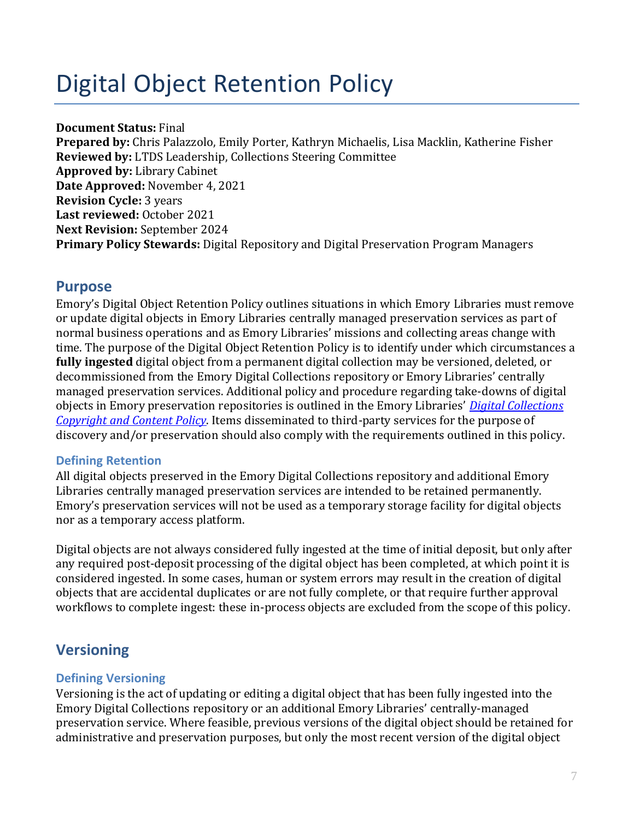# Digital Object Retention Policy

#### **Document Status:** Final

**Prepared by:** Chris Palazzolo, Emily Porter, Kathryn Michaelis, Lisa Macklin, Katherine Fisher **Reviewed by:** LTDS Leadership, Collections Steering Committee **Approved by:** Library Cabinet **Date Approved:** November 4, 2021 **Revision Cycle:** 3 years **Last reviewed:** October 2021 **Next Revision:** September 2024 **Primary Policy Stewards:** Digital Repository and Digital Preservation Program Managers

### **Purpose**

Emory's Digital Object Retention Policy outlines situations in which Emory Libraries must remove or update digital objects in Emory Libraries centrally managed preservation services as part of normal business operations and as Emory Libraries' missions and collecting areas change with time. The purpose of the Digital Object Retention Policy is to identify under which circumstances a **fully ingested** digital object from a permanent digital collection may be versioned, deleted, or decommissioned from the Emory Digital Collections repository or Emory Libraries' centrally managed preservation services. Additional policy and procedure regarding take-downs of digital objects in Emory preservation repositories is outlined in the Emory Libraries' *[Digital Collections](https://libraries.emory.edu/about/policies/digital-collections-copyright-and-content-policy.html)  [Copyright and Content Policy](https://libraries.emory.edu/about/policies/digital-collections-copyright-and-content-policy.html)*. Items disseminated to third-party services for the purpose of discovery and/or preservation should also comply with the requirements outlined in this policy.

#### **Defining Retention**

All digital objects preserved in the Emory Digital Collections repository and additional Emory Libraries centrally managed preservation services are intended to be retained permanently. Emory's preservation services will not be used as a temporary storage facility for digital objects nor as a temporary access platform.

Digital objects are not always considered fully ingested at the time of initial deposit, but only after any required post-deposit processing of the digital object has been completed, at which point it is considered ingested. In some cases, human or system errors may result in the creation of digital objects that are accidental duplicates or are not fully complete, or that require further approval workflows to complete ingest: these in-process objects are excluded from the scope of this policy.

# **Versioning**

#### **Defining Versioning**

Versioning is the act of updating or editing a digital object that has been fully ingested into the Emory Digital Collections repository or an additional Emory Libraries' centrally-managed preservation service. Where feasible, previous versions of the digital object should be retained for administrative and preservation purposes, but only the most recent version of the digital object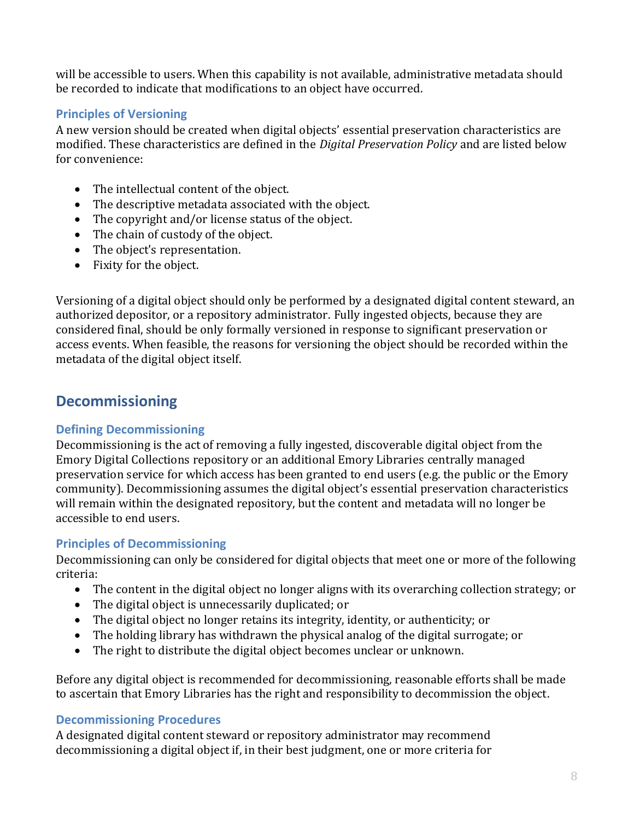will be accessible to users. When this capability is not available, administrative metadata should be recorded to indicate that modifications to an object have occurred.

#### **Principles of Versioning**

A new version should be created when digital objects' essential preservation characteristics are modified. These characteristics are defined in the *Digital Preservation Policy* and are listed below for convenience:

- The intellectual content of the object.
- The descriptive metadata associated with the object.
- The copyright and/or license status of the object.
- The chain of custody of the object.
- The object's representation.
- Fixity for the object.

Versioning of a digital object should only be performed by a designated digital content steward, an authorized depositor, or a repository administrator. Fully ingested objects, because they are considered final, should be only formally versioned in response to significant preservation or access events. When feasible, the reasons for versioning the object should be recorded within the metadata of the digital object itself.

## **Decommissioning**

### **Defining Decommissioning**

Decommissioning is the act of removing a fully ingested, discoverable digital object from the Emory Digital Collections repository or an additional Emory Libraries centrally managed preservation service for which access has been granted to end users (e.g. the public or the Emory community). Decommissioning assumes the digital object's essential preservation characteristics will remain within the designated repository, but the content and metadata will no longer be accessible to end users.

### **Principles of Decommissioning**

Decommissioning can only be considered for digital objects that meet one or more of the following criteria:

- The content in the digital object no longer aligns with its overarching collection strategy; or
- The digital object is unnecessarily duplicated; or
- The digital object no longer retains its integrity, identity, or authenticity; or
- The holding library has withdrawn the physical analog of the digital surrogate; or
- The right to distribute the digital object becomes unclear or unknown.

Before any digital object is recommended for decommissioning, reasonable efforts shall be made to ascertain that Emory Libraries has the right and responsibility to decommission the object.

#### **Decommissioning Procedures**

A designated digital content steward or repository administrator may recommend decommissioning a digital object if, in their best judgment, one or more criteria for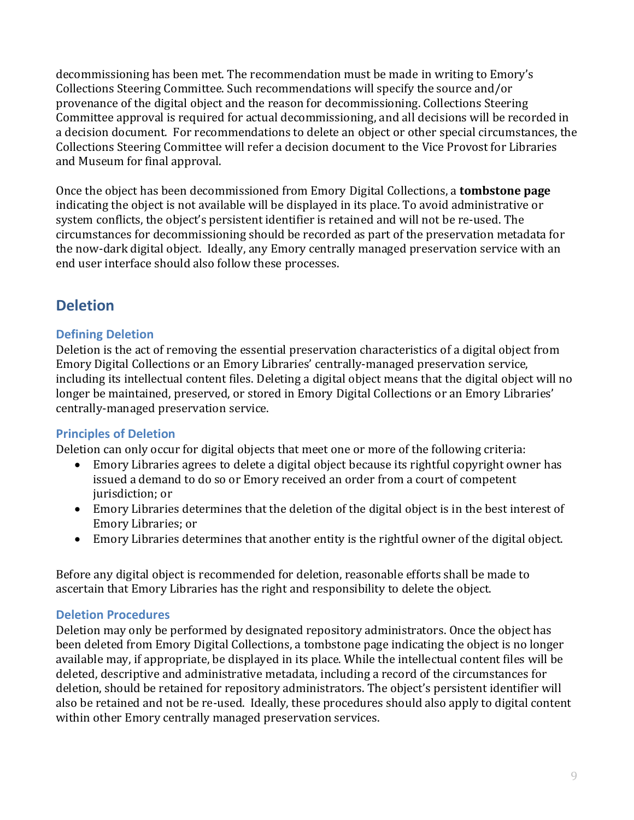decommissioning has been met. The recommendation must be made in writing to Emory's Collections Steering Committee. Such recommendations will specify the source and/or provenance of the digital object and the reason for decommissioning. Collections Steering Committee approval is required for actual decommissioning, and all decisions will be recorded in a decision document. For recommendations to delete an object or other special circumstances, the Collections Steering Committee will refer a decision document to the Vice Provost for Libraries and Museum for final approval.

Once the object has been decommissioned from Emory Digital Collections, a **tombstone page** indicating the object is not available will be displayed in its place. To avoid administrative or system conflicts, the object's persistent identifier is retained and will not be re-used. The circumstances for decommissioning should be recorded as part of the preservation metadata for the now-dark digital object. Ideally, any Emory centrally managed preservation service with an end user interface should also follow these processes.

## **Deletion**

#### **Defining Deletion**

Deletion is the act of removing the essential preservation characteristics of a digital object from Emory Digital Collections or an Emory Libraries' centrally-managed preservation service, including its intellectual content files. Deleting a digital object means that the digital object will no longer be maintained, preserved, or stored in Emory Digital Collections or an Emory Libraries' centrally-managed preservation service.

#### **Principles of Deletion**

Deletion can only occur for digital objects that meet one or more of the following criteria:

- Emory Libraries agrees to delete a digital object because its rightful copyright owner has issued a demand to do so or Emory received an order from a court of competent jurisdiction; or
- Emory Libraries determines that the deletion of the digital object is in the best interest of Emory Libraries; or
- Emory Libraries determines that another entity is the rightful owner of the digital object.

Before any digital object is recommended for deletion, reasonable efforts shall be made to ascertain that Emory Libraries has the right and responsibility to delete the object.

#### **Deletion Procedures**

Deletion may only be performed by designated repository administrators. Once the object has been deleted from Emory Digital Collections, a tombstone page indicating the object is no longer available may, if appropriate, be displayed in its place. While the intellectual content files will be deleted, descriptive and administrative metadata, including a record of the circumstances for deletion, should be retained for repository administrators. The object's persistent identifier will also be retained and not be re-used. Ideally, these procedures should also apply to digital content within other Emory centrally managed preservation services.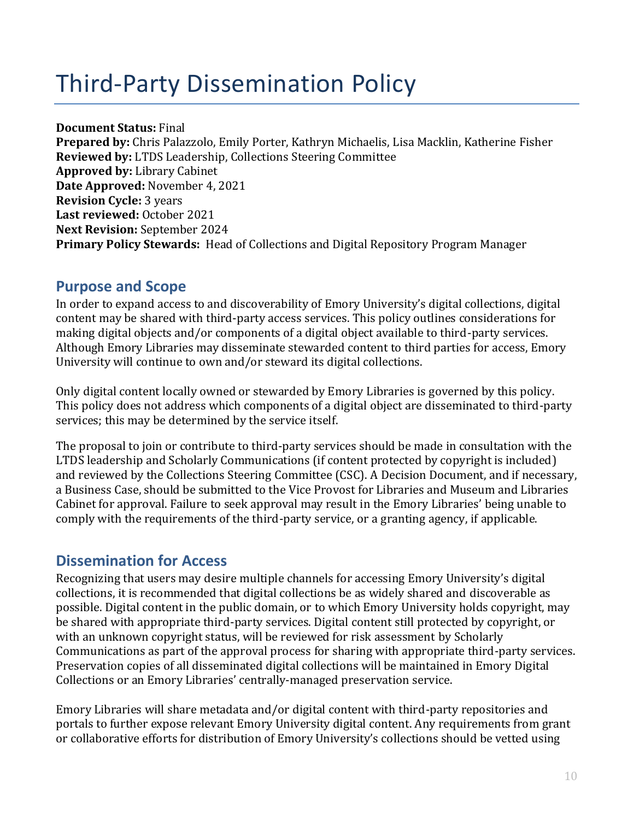# Third-Party Dissemination Policy

**Document Status:** Final **Prepared by:** Chris Palazzolo, Emily Porter, Kathryn Michaelis, Lisa Macklin, Katherine Fisher **Reviewed by:** LTDS Leadership, Collections Steering Committee **Approved by:** Library Cabinet **Date Approved:** November 4, 2021 **Revision Cycle:** 3 years **Last reviewed:** October 2021 **Next Revision:** September 2024 **Primary Policy Stewards:** Head of Collections and Digital Repository Program Manager

## **Purpose and Scope**

In order to expand access to and discoverability of Emory University's digital collections, digital content may be shared with third-party access services. This policy outlines considerations for making digital objects and/or components of a digital object available to third-party services. Although Emory Libraries may disseminate stewarded content to third parties for access, Emory University will continue to own and/or steward its digital collections.

Only digital content locally owned or stewarded by Emory Libraries is governed by this policy. This policy does not address which components of a digital object are disseminated to third-party services; this may be determined by the service itself.

The proposal to join or contribute to third-party services should be made in consultation with the LTDS leadership and Scholarly Communications (if content protected by copyright is included) and reviewed by the Collections Steering Committee (CSC). A Decision Document, and if necessary, a Business Case, should be submitted to the Vice Provost for Libraries and Museum and Libraries Cabinet for approval. Failure to seek approval may result in the Emory Libraries' being unable to comply with the requirements of the third-party service, or a granting agency, if applicable.

## **Dissemination for Access**

Recognizing that users may desire multiple channels for accessing Emory University's digital collections, it is recommended that digital collections be as widely shared and discoverable as possible. Digital content in the public domain, or to which Emory University holds copyright, may be shared with appropriate third-party services. Digital content still protected by copyright, or with an unknown copyright status, will be reviewed for risk assessment by Scholarly Communications as part of the approval process for sharing with appropriate third-party services. Preservation copies of all disseminated digital collections will be maintained in Emory Digital Collections or an Emory Libraries' centrally-managed preservation service.

Emory Libraries will share metadata and/or digital content with third-party repositories and portals to further expose relevant Emory University digital content. Any requirements from grant or collaborative efforts for distribution of Emory University's collections should be vetted using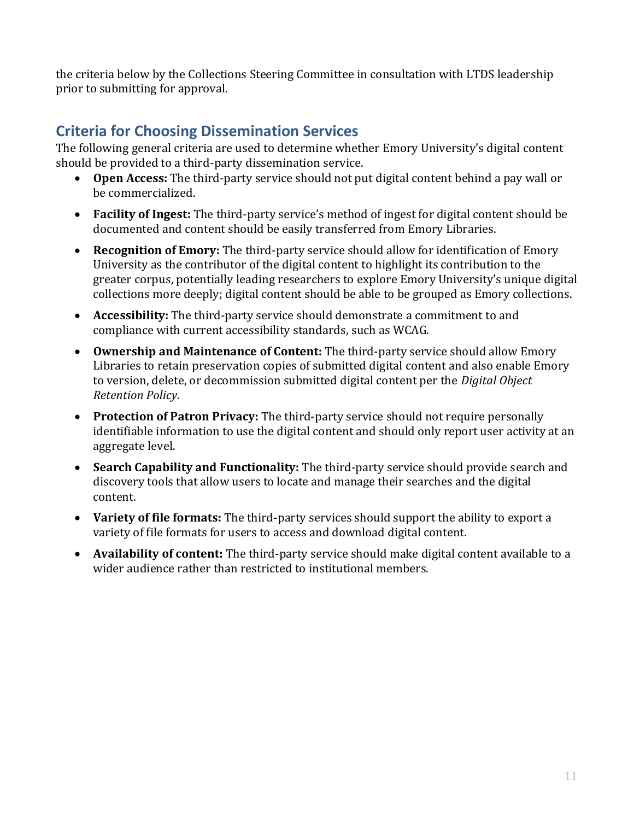the criteria below by the Collections Steering Committee in consultation with LTDS leadership prior to submitting for approval.

## **Criteria for Choosing Dissemination Services**

The following general criteria are used to determine whether Emory University's digital content should be provided to a third-party dissemination service.

- **Open Access:** The third-party service should not put digital content behind a pay wall or be commercialized.
- **Facility of Ingest:** The third-party service's method of ingest for digital content should be documented and content should be easily transferred from Emory Libraries.
- **Recognition of Emory:** The third-party service should allow for identification of Emory University as the contributor of the digital content to highlight its contribution to the greater corpus, potentially leading researchers to explore Emory University's unique digital collections more deeply; digital content should be able to be grouped as Emory collections.
- **Accessibility:** The third-party service should demonstrate a commitment to and compliance with current accessibility standards, such as WCAG.
- **Ownership and Maintenance of Content:** The third-party service should allow Emory Libraries to retain preservation copies of submitted digital content and also enable Emory to version, delete, or decommission submitted digital content per the *Digital Object Retention Policy*.
- **Protection of Patron Privacy:** The third-party service should not require personally identifiable information to use the digital content and should only report user activity at an aggregate level.
- **Search Capability and Functionality:** The third-party service should provide search and discovery tools that allow users to locate and manage their searches and the digital content.
- **Variety of file formats:** The third-party services should support the ability to export a variety of file formats for users to access and download digital content.
- **Availability of content:** The third-party service should make digital content available to a wider audience rather than restricted to institutional members.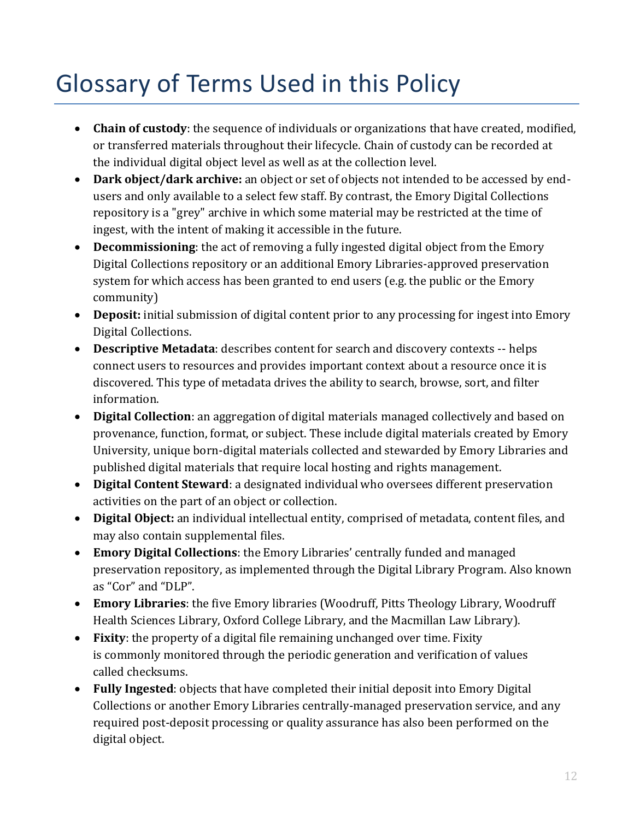# Glossary of Terms Used in this Policy

- **Chain of custody**: the sequence of individuals or organizations that have created, modified, or transferred materials throughout their lifecycle. Chain of custody can be recorded at the individual digital object level as well as at the collection level.
- **Dark object/dark archive:** an object or set of objects not intended to be accessed by endusers and only available to a select few staff. By contrast, the Emory Digital Collections repository is a "grey" archive in which some material may be restricted at the time of ingest, with the intent of making it accessible in the future.
- **Decommissioning**: the act of removing a fully ingested digital object from the Emory Digital Collections repository or an additional Emory Libraries-approved preservation system for which access has been granted to end users (e.g. the public or the Emory community)
- **Deposit:** initial submission of digital content prior to any processing for ingest into Emory Digital Collections.
- **Descriptive Metadata**: describes content for search and discovery contexts -- helps connect users to resources and provides important context about a resource once it is discovered. This type of metadata drives the ability to search, browse, sort, and filter information.
- **Digital Collection**: an aggregation of digital materials managed collectively and based on provenance, function, format, or subject. These include digital materials created by Emory University, unique born-digital materials collected and stewarded by Emory Libraries and published digital materials that require local hosting and rights management.
- **Digital Content Steward**: a designated individual who oversees different preservation activities on the part of an object or collection.
- **Digital Object:** an individual intellectual entity, comprised of metadata, content files, and may also contain supplemental files.
- **Emory Digital Collections**: the Emory Libraries' centrally funded and managed preservation repository, as implemented through the Digital Library Program. Also known as "Cor" and "DLP".
- **Emory Libraries**: the five Emory libraries (Woodruff, Pitts Theology Library, Woodruff Health Sciences Library, Oxford College Library, and the Macmillan Law Library).
- **Fixity**: the property of a digital file remaining unchanged over time. Fixity is commonly monitored through the periodic generation and verification of values called checksums.
- **Fully Ingested**: objects that have completed their initial deposit into Emory Digital Collections or another Emory Libraries centrally-managed preservation service, and any required post-deposit processing or quality assurance has also been performed on the digital object.